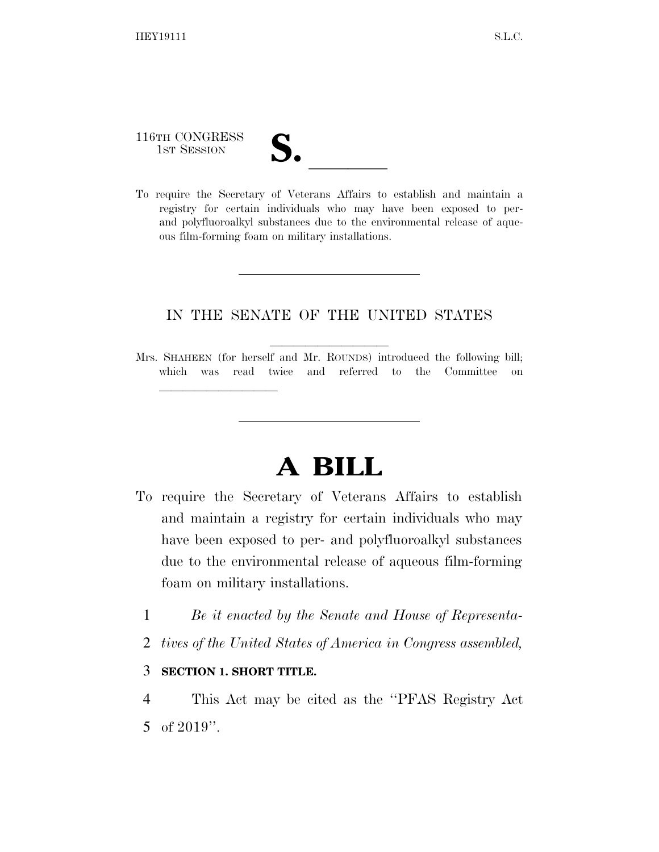116TH CONGRESS 116TH CONGRESS<br>
1ST SESSION<br>
To require the Secretary of Veterans Affairs to establish and maintain a

lla se al constituir a la constituir a la constituir a la constituir a la constituir a la constituir a la cons<br>La constituir a la constituir a la constituir a la constituir a la constituir a la constituir a la constituir

- 
- registry for certain individuals who may have been exposed to perand polyfluoroalkyl substances due to the environmental release of aqueous film-forming foam on military installations.

## IN THE SENATE OF THE UNITED STATES

## **A BILL**

- To require the Secretary of Veterans Affairs to establish and maintain a registry for certain individuals who may have been exposed to per- and polyfluoroalkyl substances due to the environmental release of aqueous film-forming foam on military installations.
	- 1 *Be it enacted by the Senate and House of Representa-*
	- 2 *tives of the United States of America in Congress assembled,*

## 3 **SECTION 1. SHORT TITLE.**

4 This Act may be cited as the ''PFAS Registry Act 5 of 2019''.

Mrs. SHAHEEN (for herself and Mr. ROUNDS) introduced the following bill; which was read twice and referred to the Committee on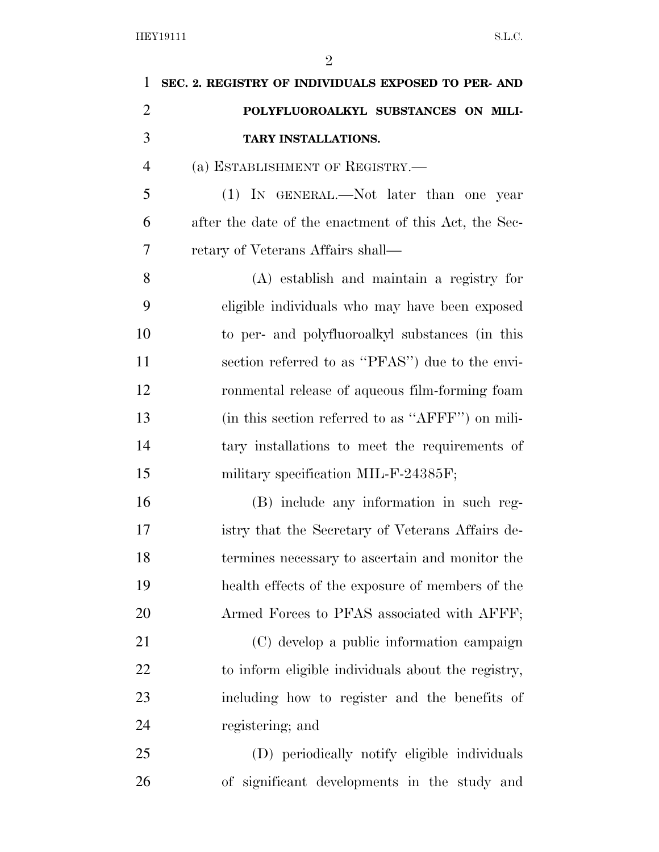| $\mathbf{1}$   | SEC. 2. REGISTRY OF INDIVIDUALS EXPOSED TO PER-AND    |
|----------------|-------------------------------------------------------|
| $\overline{2}$ | POLYFLUOROALKYL SUBSTANCES ON MILI-                   |
| 3              | TARY INSTALLATIONS.                                   |
| $\overline{4}$ | (a) ESTABLISHMENT OF REGISTRY.-                       |
| 5              | (1) IN GENERAL.—Not later than one year               |
| 6              | after the date of the enactment of this Act, the Sec- |
| 7              | retary of Veterans Affairs shall—                     |
| 8              | (A) establish and maintain a registry for             |
| 9              | eligible individuals who may have been exposed        |
| 10             | to per- and polyfluoroalkyl substances (in this       |
| 11             | section referred to as "PFAS") due to the envi-       |
| 12             | ronmental release of aqueous film-forming foam        |
| 13             | (in this section referred to as "AFFF") on mili-      |
| 14             | tary installations to meet the requirements of        |
| 15             | military specification MIL-F-24385F;                  |
| 16             | (B) include any information in such reg-              |
| 17             | istry that the Secretary of Veterans Affairs de-      |
| 18             | termines necessary to ascertain and monitor the       |
| 19             | health effects of the exposure of members of the      |
| 20             | Armed Forces to PFAS associated with AFFF;            |
| 21             | (C) develop a public information campaign             |
| 22             | to inform eligible individuals about the registry,    |
| 23             | including how to register and the benefits of         |
| 24             | registering; and                                      |
| 25             | (D) periodically notify eligible individuals          |
| 26             | of significant developments in the study and          |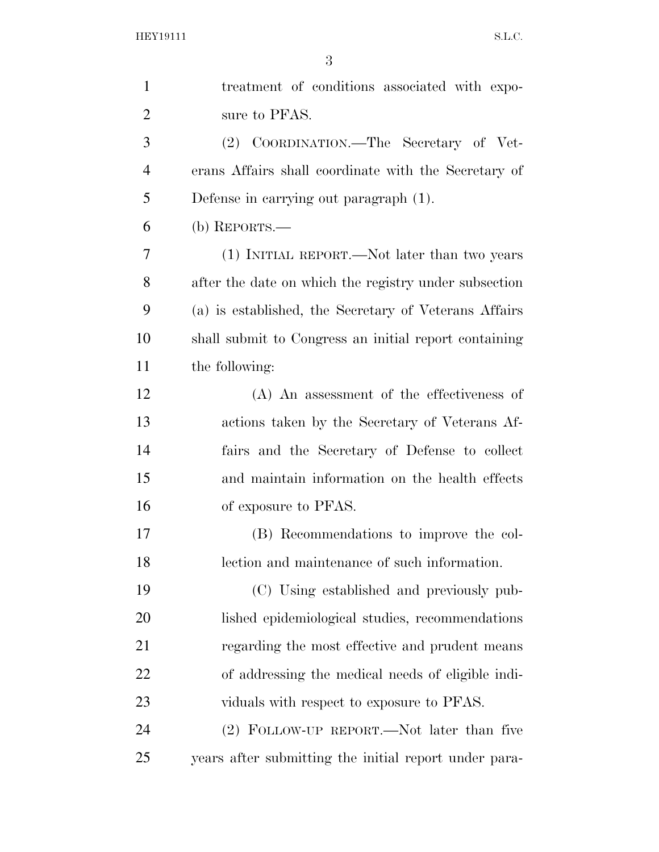| $\mathbf{1}$   | treatment of conditions associated with expo-         |
|----------------|-------------------------------------------------------|
| $\overline{2}$ | sure to PFAS.                                         |
| 3              | (2) COORDINATION.—The Secretary of Vet-               |
| $\overline{4}$ | erans Affairs shall coordinate with the Secretary of  |
| 5              | Defense in carrying out paragraph (1).                |
| 6              | (b) REPORTS.—                                         |
| 7              | (1) INITIAL REPORT.—Not later than two years          |
| 8              | after the date on which the registry under subsection |
| 9              | (a) is established, the Secretary of Veterans Affairs |
| 10             | shall submit to Congress an initial report containing |
| 11             | the following:                                        |
| 12             | $(A)$ An assessment of the effectiveness of           |
| 13             | actions taken by the Secretary of Veterans Af-        |
| 14             | fairs and the Secretary of Defense to collect         |
| 15             | and maintain information on the health effects        |
| 16             | of exposure to PFAS.                                  |
| 17             | (B) Recommendations to improve the col-               |
| 18             | lection and maintenance of such information.          |
| 19             | (C) Using established and previously pub-             |
| 20             | lished epidemiological studies, recommendations       |
| 21             | regarding the most effective and prudent means        |
| 22             | of addressing the medical needs of eligible indi-     |
| 23             | viduals with respect to exposure to PFAS.             |
| 24             | (2) FOLLOW-UP REPORT.—Not later than five             |
| 25             | years after submitting the initial report under para- |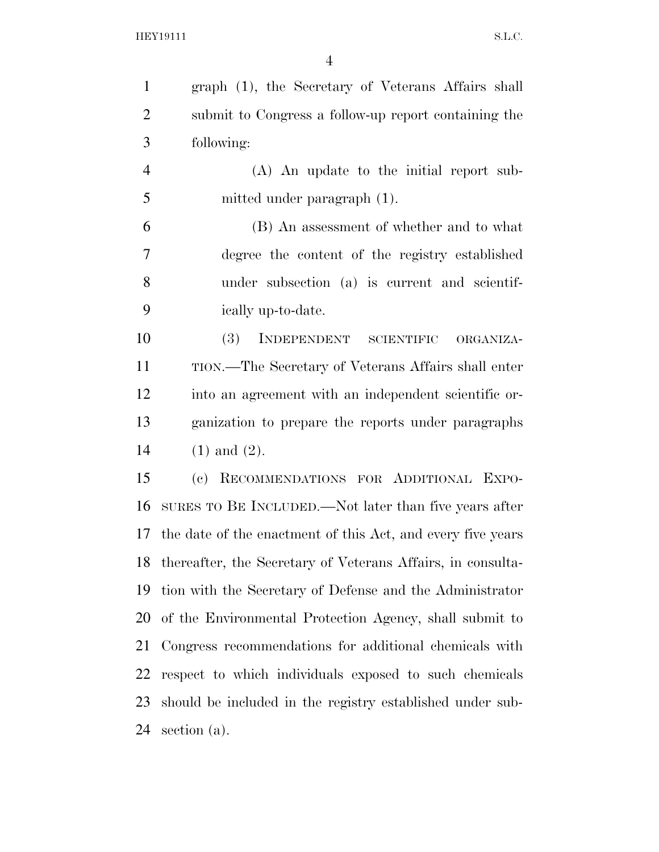graph (1), the Secretary of Veterans Affairs shall submit to Congress a follow-up report containing the following: (A) An update to the initial report sub- mitted under paragraph (1). (B) An assessment of whether and to what degree the content of the registry established under subsection (a) is current and scientif- ically up-to-date. (3) INDEPENDENT SCIENTIFIC ORGANIZA- TION.—The Secretary of Veterans Affairs shall enter into an agreement with an independent scientific or- ganization to prepare the reports under paragraphs (1) and (2).

 (c) RECOMMENDATIONS FOR ADDITIONAL EXPO- SURES TO BE INCLUDED.—Not later than five years after the date of the enactment of this Act, and every five years thereafter, the Secretary of Veterans Affairs, in consulta- tion with the Secretary of Defense and the Administrator of the Environmental Protection Agency, shall submit to Congress recommendations for additional chemicals with respect to which individuals exposed to such chemicals should be included in the registry established under sub-section (a).